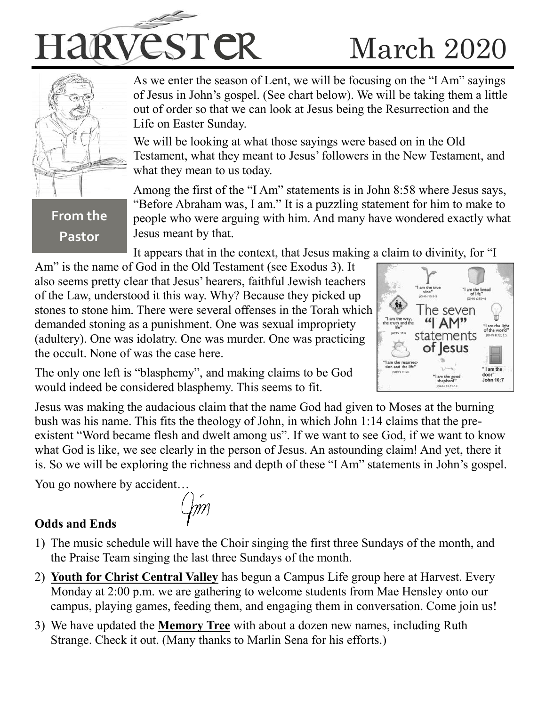



**From the** 

**Pastor**

As we enter the season of Lent, we will be focusing on the "I Am" sayings of Jesus in John's gospel. (See chart below). We will be taking them a little out of order so that we can look at Jesus being the Resurrection and the Life on Easter Sunday.

We will be looking at what those sayings were based on in the Old Testament, what they meant to Jesus' followers in the New Testament, and what they mean to us today.

Among the first of the "I Am" statements is in John 8:58 where Jesus says, "Before Abraham was, I am." It is a puzzling statement for him to make to people who were arguing with him. And many have wondered exactly what Jesus meant by that.

It appears that in the context, that Jesus making a claim to divinity, for "I

Am" is the name of God in the Old Testament (see Exodus 3). It also seems pretty clear that Jesus' hearers, faithful Jewish teachers of the Law, understood it this way. Why? Because they picked up stones to stone him. There were several offenses in the Torah which demanded stoning as a punishment. One was sexual impropriety (adultery). One was idolatry. One was murder. One was practicing the occult. None of was the case here.



The only one left is "blasphemy", and making claims to be God would indeed be considered blasphemy. This seems to fit.

Jesus was making the audacious claim that the name God had given to Moses at the burning bush was his name. This fits the theology of John, in which John 1:14 claims that the preexistent "Word became flesh and dwelt among us". If we want to see God, if we want to know what God is like, we see clearly in the person of Jesus. An astounding claim! And yet, there it is. So we will be exploring the richness and depth of these "I Am" statements in John's gospel.

You go nowhere by accident…

## **Odds and Ends**

- 1) The music schedule will have the Choir singing the first three Sundays of the month, and the Praise Team singing the last three Sundays of the month.
- 2) **Youth for Christ Central Valley** has begun a Campus Life group here at Harvest. Every Monday at 2:00 p.m. we are gathering to welcome students from Mae Hensley onto our campus, playing games, feeding them, and engaging them in conversation. Come join us!
- 3) We have updated the **Memory Tree** with about a dozen new names, including Ruth Strange. Check it out. (Many thanks to Marlin Sena for his efforts.)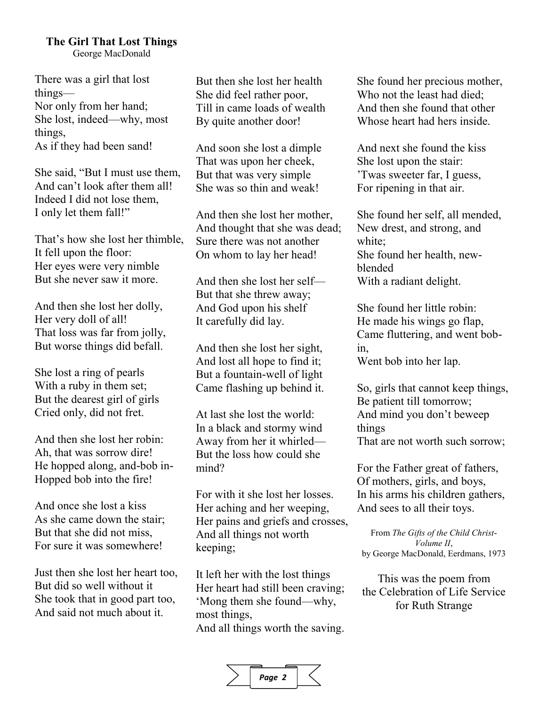### **The Girl That Lost Things**

George MacDonald

There was a girl that lost things— Nor only from her hand; She lost, indeed—why, most things, As if they had been sand!

She said, "But I must use them, And can't look after them all! Indeed I did not lose them, I only let them fall!"

That's how she lost her thimble, It fell upon the floor: Her eyes were very nimble But she never saw it more.

And then she lost her dolly, Her very doll of all! That loss was far from jolly, But worse things did befall.

She lost a ring of pearls With a ruby in them set; But the dearest girl of girls Cried only, did not fret.

And then she lost her robin: Ah, that was sorrow dire! He hopped along, and-bob in-Hopped bob into the fire!

And once she lost a kiss As she came down the stair; But that she did not miss, For sure it was somewhere!

Just then she lost her heart too, But did so well without it She took that in good part too, And said not much about it.

But then she lost her health She did feel rather poor, Till in came loads of wealth By quite another door!

And soon she lost a dimple That was upon her cheek, But that was very simple She was so thin and weak!

And then she lost her mother, And thought that she was dead; Sure there was not another On whom to lay her head!

And then she lost her self— But that she threw away; And God upon his shelf It carefully did lay.

And then she lost her sight, And lost all hope to find it; But a fountain-well of light Came flashing up behind it.

At last she lost the world: In a black and stormy wind Away from her it whirled— But the loss how could she mind?

For with it she lost her losses. Her aching and her weeping, Her pains and griefs and crosses, And all things not worth keeping;

It left her with the lost things Her heart had still been craving; 'Mong them she found—why, most things, And all things worth the saving. She found her precious mother, Who not the least had died; And then she found that other Whose heart had hers inside.

And next she found the kiss She lost upon the stair: 'Twas sweeter far, I guess, For ripening in that air.

She found her self, all mended, New drest, and strong, and white; She found her health, newblended With a radiant delight.

She found her little robin: He made his wings go flap, Came fluttering, and went bobin, Went bob into her lap.

So, girls that cannot keep things, Be patient till tomorrow; And mind you don't beweep things That are not worth such sorrow;

For the Father great of fathers, Of mothers, girls, and boys, In his arms his children gathers, And sees to all their toys.

From *The Gifts of the Child Christ-Volume II*, by George MacDonald, Eerdmans, 1973

This was the poem from the Celebration of Life Service for Ruth Strange

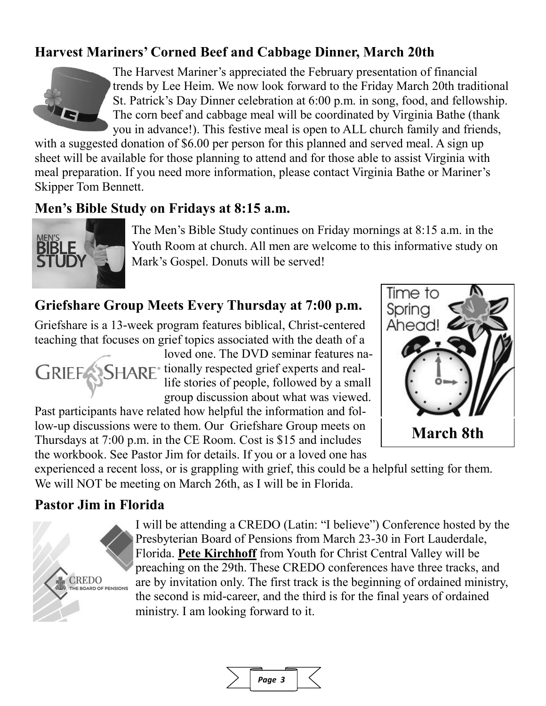# **Harvest Mariners' Corned Beef and Cabbage Dinner, March 20th**



The Harvest Mariner's appreciated the February presentation of financial trends by Lee Heim. We now look forward to the Friday March 20th traditional St. Patrick's Day Dinner celebration at 6:00 p.m. in song, food, and fellowship. The corn beef and cabbage meal will be coordinated by Virginia Bathe (thank you in advance!). This festive meal is open to ALL church family and friends,

with a suggested donation of \$6.00 per person for this planned and served meal. A sign up sheet will be available for those planning to attend and for those able to assist Virginia with meal preparation. If you need more information, please contact Virginia Bathe or Mariner's Skipper Tom Bennett.

## **Men's Bible Study on Fridays at 8:15 a.m.**



The Men's Bible Study continues on Friday mornings at 8:15 a.m. in the Youth Room at church. All men are welcome to this informative study on Mark's Gospel. Donuts will be served!

# **Griefshare Group Meets Every Thursday at 7:00 p.m.**

Griefshare is a 13-week program features biblical, Christ-centered teaching that focuses on grief topics associated with the death of a

loved one. The DVD seminar features na-GRIEF SHARE<sup>\*</sup> tionally respected grief experts and reallife stories of people, followed by a small group discussion about what was viewed.

Past participants have related how helpful the information and follow-up discussions were to them. Our Griefshare Group meets on Thursdays at 7:00 p.m. in the CE Room. Cost is \$15 and includes the workbook. See Pastor Jim for details. If you or a loved one has



experienced a recent loss, or is grappling with grief, this could be a helpful setting for them. We will NOT be meeting on March 26th, as I will be in Florida.

## **Pastor Jim in Florida**



I will be attending a CREDO (Latin: "I believe") Conference hosted by the Presbyterian Board of Pensions from March 23-30 in Fort Lauderdale, Florida. **Pete Kirchhoff** from Youth for Christ Central Valley will be preaching on the 29th. These CREDO conferences have three tracks, and are by invitation only. The first track is the beginning of ordained ministry, the second is mid-career, and the third is for the final years of ordained ministry. I am looking forward to it.

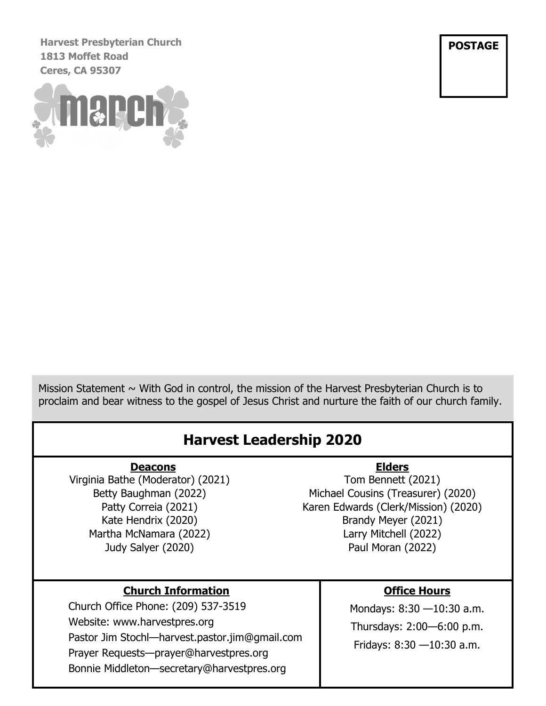**Harvest Presbyterian Church 1813 Moffet Road Ceres, CA 95307**



**POSTAGE**

Mission Statement  $\sim$  With God in control, the mission of the Harvest Presbyterian Church is to proclaim and bear witness to the gospel of Jesus Christ and nurture the faith of our church family.

# **Harvest Leadership 2020**

#### **Deacons**

Virginia Bathe (Moderator) (2021) Betty Baughman (2022) Patty Correia (2021) Kate Hendrix (2020) Martha McNamara (2022) Judy Salyer (2020)

#### **Elders**

Tom Bennett (2021) Michael Cousins (Treasurer) (2020) Karen Edwards (Clerk/Mission) (2020) Brandy Meyer (2021) Larry Mitchell (2022) Paul Moran (2022)

#### **Church Information**

Church Office Phone: (209) 537-3519 Website: www.harvestpres.org Pastor Jim Stochl—harvest.pastor.jim@gmail.com Prayer Requests—prayer@harvestpres.org Bonnie Middleton—secretary@harvestpres.org

#### **Office Hours**

Mondays: 8:30 —10:30 a.m. Thursdays: 2:00—6:00 p.m. Fridays: 8:30 —10:30 a.m.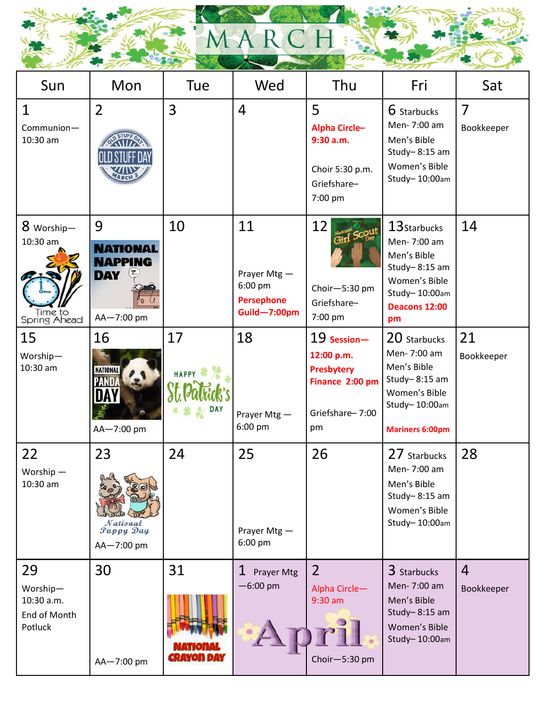

| Sun                                                     | Mon                                                                | Tue                     | Wed                                                               | Thu                                                                                        | Fri                                                                                                                           | Sat                          |
|---------------------------------------------------------|--------------------------------------------------------------------|-------------------------|-------------------------------------------------------------------|--------------------------------------------------------------------------------------------|-------------------------------------------------------------------------------------------------------------------------------|------------------------------|
| $\mathbf 1$<br>Communion-<br>10:30 am                   | $\overline{2}$                                                     | 3                       | $\overline{4}$                                                    | 5<br><b>Alpha Circle-</b><br>9:30 a.m.<br>Choir 5:30 p.m.<br>Griefshare-<br>7:00 pm        | 6 Starbucks<br>Men-7:00 am<br>Men's Bible<br>Study- $8:15$ am<br>Women's Bible<br>Study-10:00am                               | 7<br>Bookkeeper              |
| 8 Worship-<br>10:30 am<br>Time to<br>Spring Ahead       | 9<br><b>NATIONAL</b><br><b>NAPPING</b><br><b>DAY</b><br>AA-7:00 pm | 10                      | 11<br>Prayer Mtg-<br>6:00 pm<br><b>Persephone</b><br>Guild-7:00pm | 12<br>Choir-5:30 pm<br>Griefshare-<br>7:00 pm                                              | 13Starbucks<br>Men-7:00 am<br>Men's Bible<br>Study- $8:15$ am<br>Women's Bible<br>Study-10:00am<br><b>Deacons 12:00</b><br>pm | 14                           |
| 15<br>Worship-<br>10:30 am                              | 16<br><b>NATIONAL</b><br>AA-7:00 pm                                | 17<br><b>HAPPY</b>      | 18<br>Prayer Mtg -<br>6:00 pm                                     | 19 Session-<br>12:00 p.m.<br><b>Presbytery</b><br>Finance 2:00 pm<br>Griefshare-7:00<br>pm | 20 Starbucks<br>Men-7:00 am<br>Men's Bible<br>Study-8:15 am<br>Women's Bible<br>Study-10:00am<br><b>Mariners 6:00pm</b>       | 21<br>Bookkeeper             |
| 22<br>Worship-<br>10:30 am                              | 23<br>$\sim$ $\alpha$<br>National<br>Puppy Day<br>AA-7:00 pm       | 24                      | 25<br>Prayer Mtg-<br>6:00 pm                                      | 26                                                                                         | 27 Starbucks<br>Men-7:00 am<br>Men's Bible<br>Study- $8:15$ am<br>Women's Bible<br>Study-10:00am                              | 28                           |
| 29<br>Worship-<br>10:30 a.m.<br>End of Month<br>Potluck | 30<br>AA-7:00 pm                                                   | 31<br><b>ERAYON DAY</b> | $\mathbf 1$<br>Prayer Mtg<br>$-6:00$ pm                           | $\overline{2}$<br>Alpha Circle-<br>9:30 am<br>Choir-5:30 pm                                | 3 Starbucks<br>Men-7:00 am<br>Men's Bible<br>Study-8:15 am<br>Women's Bible<br>Study-10:00am                                  | $\overline{4}$<br>Bookkeeper |